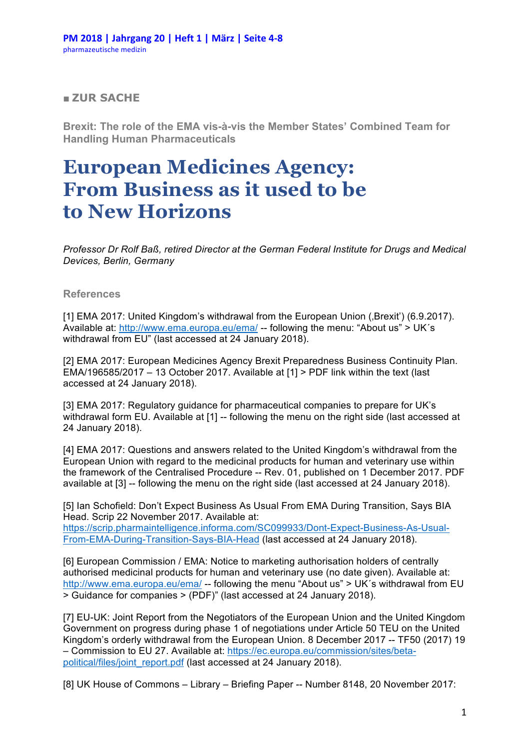## ■ **ZUR SACHE**

**Brexit: The role of the EMA vis-à-vis the Member States' Combined Team for Handling Human Pharmaceuticals**

## **European Medicines Agency: From Business as it used to be to New Horizons**

*Professor Dr Rolf Baß, retired Director at the German Federal Institute for Drugs and Medical Devices, Berlin, Germany*

## **References**

[1] EMA 2017: United Kingdom's withdrawal from the European Union (, Brexit') (6.9.2017). Available at: http://www.ema.europa.eu/ema/ -- following the menu: "About us" > UK´s withdrawal from EU" (last accessed at 24 January 2018).

[2] EMA 2017: European Medicines Agency Brexit Preparedness Business Continuity Plan. EMA/196585/2017 – 13 October 2017. Available at  $[1]$  > PDF link within the text (last accessed at 24 January 2018).

[3] EMA 2017: Regulatory guidance for pharmaceutical companies to prepare for UK's withdrawal form EU. Available at [1] -- following the menu on the right side (last accessed at 24 January 2018).

[4] EMA 2017: Questions and answers related to the United Kingdom's withdrawal from the European Union with regard to the medicinal products for human and veterinary use within the framework of the Centralised Procedure -- Rev. 01, published on 1 December 2017. PDF available at [3] -- following the menu on the right side (last accessed at 24 January 2018).

[5] Ian Schofield: Don't Expect Business As Usual From EMA During Transition, Says BIA Head. Scrip 22 November 2017. Available at: https://scrip.pharmaintelligence.informa.com/SC099933/Dont-Expect-Business-As-Usual-From-EMA-During-Transition-Says-BIA-Head (last accessed at 24 January 2018).

[6] European Commission / EMA: Notice to marketing authorisation holders of centrally authorised medicinal products for human and veterinary use (no date given). Available at: http://www.ema.europa.eu/ema/ -- following the menu "About us" > UK´s withdrawal from EU > Guidance for companies > (PDF)" (last accessed at 24 January 2018).

[7] EU-UK: Joint Report from the Negotiators of the European Union and the United Kingdom Government on progress during phase 1 of negotiations under Article 50 TEU on the United Kingdom's orderly withdrawal from the European Union. 8 December 2017 -- TF50 (2017) 19 – Commission to EU 27. Available at: https://ec.europa.eu/commission/sites/betapolitical/files/joint\_report.pdf (last accessed at 24 January 2018).

[8] UK House of Commons – Library – Briefing Paper -- Number 8148, 20 November 2017: